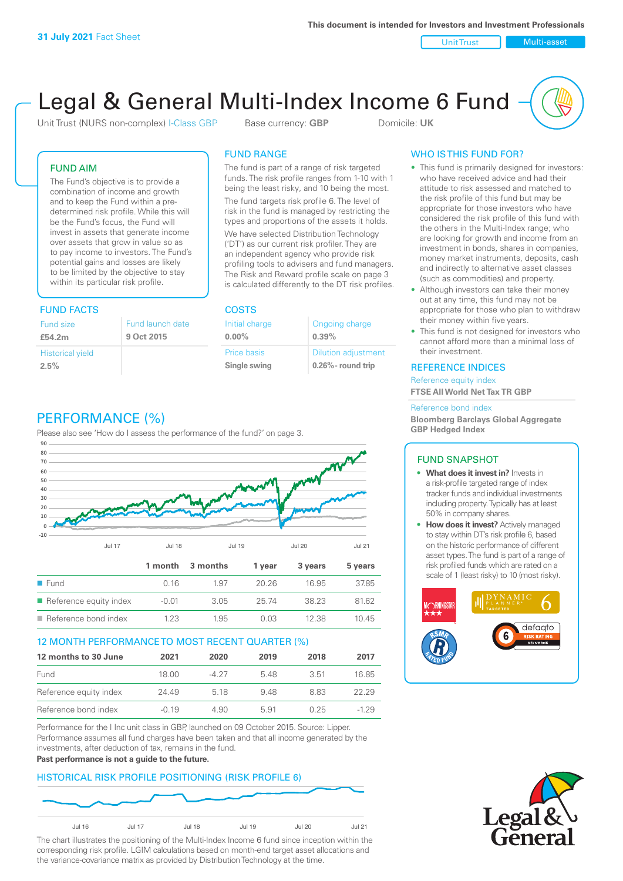Unit Trust Nulti-asset

# Legal & General Multi-Index Income 6 Fund

Unit Trust (NURS non-complex) I-Class GBP Base currency: **GBP** Domicile: UK

### FUND AIM

The Fund's objective is to provide a combination of income and growth and to keep the Fund within a predetermined risk profile. While this will be the Fund's focus, the Fund will invest in assets that generate income over assets that grow in value so as to pay income to investors. The Fund's potential gains and losses are likely to be limited by the objective to stay within its particular risk profile.

### FUND FACTS COSTS

| Fund size               | Fund launch date |
|-------------------------|------------------|
| £54.2m                  | 9 Oct 2015       |
| <b>Historical yield</b> |                  |
| 2.5%                    |                  |

### FUND RANGE

The fund is part of a range of risk targeted funds. The risk profile ranges from 1-10 with 1 being the least risky, and 10 being the most.

The fund targets risk profile 6. The level of risk in the fund is managed by restricting the types and proportions of the assets it holds. We have selected Distribution Technology ('DT') as our current risk profiler. They are an independent agency who provide risk profiling tools to advisers and fund managers. The Risk and Reward profile scale on page 3 is calculated differently to the DT risk profiles.

**0.00%**

| Initial charge | Ongoing charge             |
|----------------|----------------------------|
| $0.00\%$       | 0.39%                      |
| Price basis    | <b>Dilution adjustment</b> |
| Single swing   | $0.26\%$ - round trip      |

### PERFORMANCE (%)

Please also see 'How do I assess the performance of the fund?' on page 3.



### 12 MONTH PERFORMANCE TO MOST RECENT QUARTER (%)

| 12 months to 30 June   | 2021  | 2020  | 2019 | 2018 | 2017   |
|------------------------|-------|-------|------|------|--------|
| Fund                   | 18.00 | -4.27 | 548  | 3.51 | 16.85  |
| Reference equity index | 24.49 | 5 18  | 948  | 883  | 22.29  |
| Reference bond index   | -0.19 | 4.90  | 5.91 | 0.25 | $-129$ |

Performance for the I Inc unit class in GBP, launched on 09 October 2015. Source: Lipper. Performance assumes all fund charges have been taken and that all income generated by the investments, after deduction of tax, remains in the fund.

#### **Past performance is not a guide to the future.**

### HISTORICAL RISK PROFILE POSITIONING (RISK PROFILE 6)



The chart illustrates the positioning of the Multi-Index Income 6 fund since inception within the corresponding risk profile. LGIM calculations based on month-end target asset allocations and the variance-covariance matrix as provided by Distribution Technology at the time.

### WHO IS THIS FUND FOR?

- This fund is primarily designed for investors: who have received advice and had their attitude to risk assessed and matched to the risk profile of this fund but may be appropriate for those investors who have considered the risk profile of this fund with the others in the Multi-Index range; who are looking for growth and income from an investment in bonds, shares in companies, money market instruments, deposits, cash and indirectly to alternative asset classes (such as commodities) and property.
- Although investors can take their money out at any time, this fund may not be appropriate for those who plan to withdraw their money within five years.
- This fund is not designed for investors who cannot afford more than a minimal loss of their investment.

### REFERENCE INDICES

Reference equity index **FTSE All World Net Tax TR GBP**

#### Reference bond index

**Bloomberg Barclays Global Aggregate GBP Hedged Index**

#### FUND SNAPSHOT

- **• What does it invest in?** Invests in a risk-profile targeted range of index tracker funds and individual investments including property. Typically has at least 50% in company shares.
- **• How does it invest?** Actively managed to stay within DT's risk profile 6, based on the historic performance of different asset types. The fund is part of a range of risk profiled funds which are rated on a scale of 1 (least risky) to 10 (most risky).



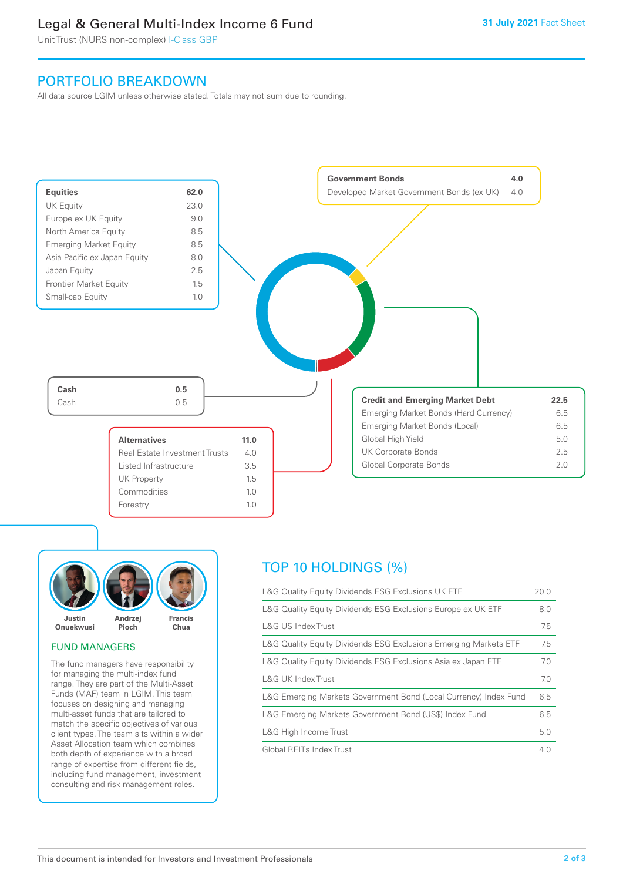### Legal & General Multi-Index Income 6 Fund

Unit Trust (NURS non-complex) I-Class GBP

### PORTFOLIO BREAKDOWN

All data source LGIM unless otherwise stated. Totals may not sum due to rounding.





### FUND MANAGERS

The fund managers have responsibility for managing the multi-index fund range. They are part of the Multi-Asset Funds (MAF) team in LGIM. This team focuses on designing and managing multi-asset funds that are tailored to match the specific objectives of various client types. The team sits within a wider Asset Allocation team which combines both depth of experience with a broad range of expertise from different fields, including fund management, investment consulting and risk management roles.

## TOP 10 HOLDINGS (%)

| L&G Quality Equity Dividends ESG Exclusions UK ETF               | 20.0 |
|------------------------------------------------------------------|------|
| L&G Quality Equity Dividends ESG Exclusions Europe ex UK ETF     | 8.0  |
| L&G US Index Trust                                               | 7.5  |
| L&G Quality Equity Dividends ESG Exclusions Emerging Markets ETF | 7.5  |
| L&G Quality Equity Dividends ESG Exclusions Asia ex Japan ETF    | 7.0  |
| L&G UK Index Trust                                               | 7.0  |
| L&G Emerging Markets Government Bond (Local Currency) Index Fund | 6.5  |
| L&G Emerging Markets Government Bond (US\$) Index Fund           | 6.5  |
| L&G High Income Trust                                            | 5.0  |
| Global REITs Index Trust                                         | 4.0  |